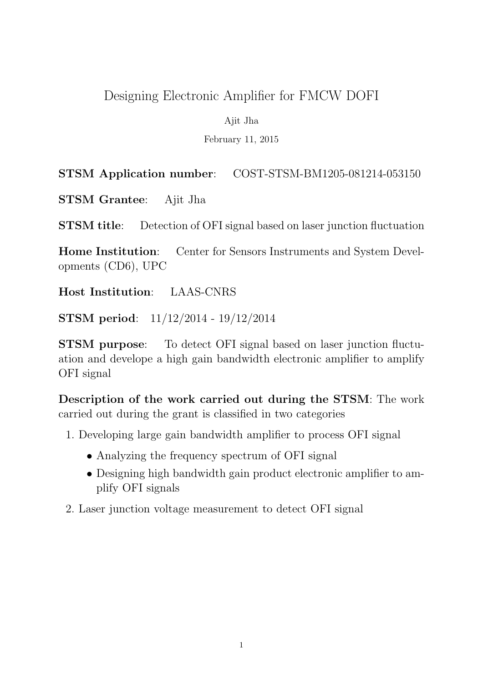# Designing Electronic Amplifier for FMCW DOFI

Ajit Jha

February 11, 2015

## STSM Application number: COST-STSM-BM1205-081214-053150

STSM Grantee: Ajit Jha

STSM title: Detection of OFI signal based on laser junction fluctuation

Home Institution: Center for Sensors Instruments and System Developments (CD6), UPC

Host Institution: LAAS-CNRS

STSM period: 11/12/2014 - 19/12/2014

STSM purpose: To detect OFI signal based on laser junction fluctuation and develope a high gain bandwidth electronic amplifier to amplify OFI signal

Description of the work carried out during the STSM: The work carried out during the grant is classified in two categories

- 1. Developing large gain bandwidth amplifier to process OFI signal
	- Analyzing the frequency spectrum of OFI signal
	- Designing high bandwidth gain product electronic amplifier to amplify OFI signals
- 2. Laser junction voltage measurement to detect OFI signal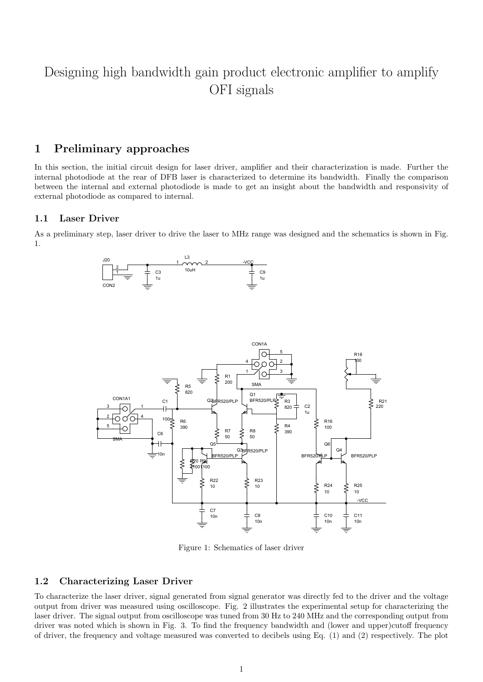# Designing high bandwidth gain product electronic amplifier to amplify OFI signals

### 1 Preliminary approaches

In this section, the initial circuit design for laser driver, amplifier and their characterization is made. Further the internal photodiode at the rear of DFB laser is characterized to determine its bandwidth. Finally the comparison between the internal and external photodiode is made to get an insight about the bandwidth and responsivity of external photodiode as compared to internal.

### 1.1 Laser Driver

As a preliminary step, laser driver to drive the laser to MHz range was designed and the schematics is shown in Fig. 1.





Figure 1: Schematics of laser driver

### 1.2 Characterizing Laser Driver

To characterize the laser driver, signal generated from signal generator was directly fed to the driver and the voltage output from driver was measured using oscilloscope. Fig. 2 illustrates the experimental setup for characterizing the laser driver. The signal output from oscilloscope was tuned from 30 Hz to 240 MHz and the corresponding output from driver was noted which is shown in Fig. 3. To find the frequency bandwidth and (lower and upper)cutoff frequency of driver, the frequency and voltage measured was converted to decibels using Eq. (1) and (2) respectively. The plot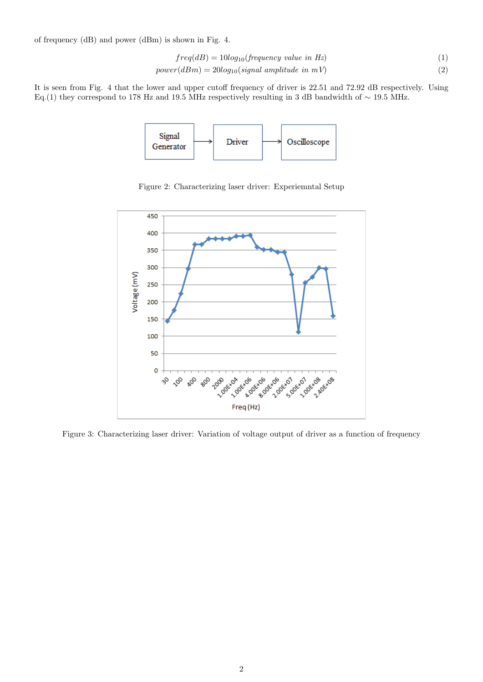of frequency (dB) and power (dBm) is shown in Fig. 4.

$$
freq(dB) = 10log_{10}(frequency value in Hz)
$$
\n(1)

$$
power(dBm) = 20log_{10}(signal amplitude in mV)
$$
\n(2)

It is seen from Fig. 4 that the lower and upper cutoff frequency of driver is 22.51 and 72.92 dB respectively. Using Eq.(1) they correspond to 178 Hz and 19.5 MHz respectively resulting in 3 dB bandwidth of  $\sim$  19.5 MHz.



Figure 2: Characterizing laser driver: Experiemntal Setup



Figure 3: Characterizing laser driver: Variation of voltage output of driver as a function of frequency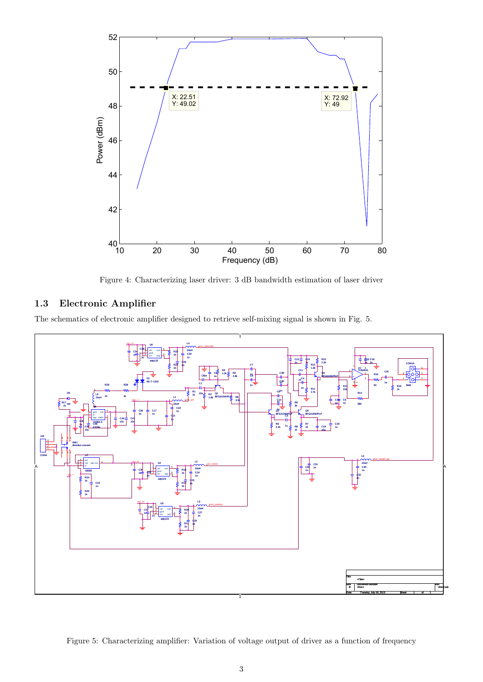

Figure 4: Characterizing laser driver: 3 dB bandwidth estimation of laser driver

#### $1.3$ Electronic Amplifier

The schematics of electronic amplifier designed to retrieve self-mixing signal is shown in Fig. 5.



Figure 5: Characterizing amplifier: Variation of voltage output of driver as a function of frequency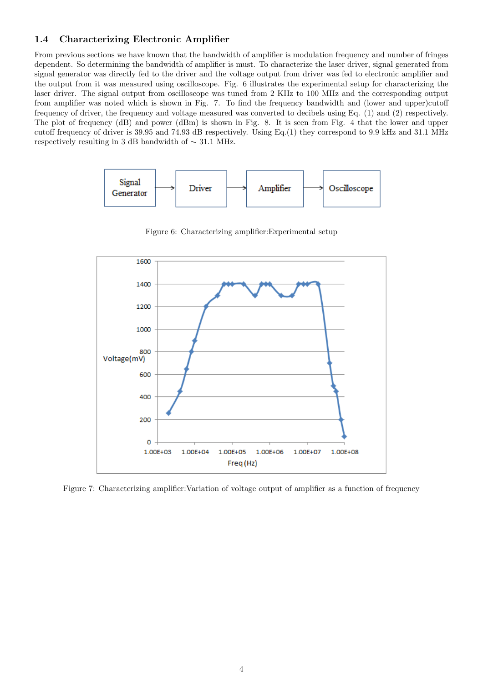### 1.4 Characterizing Electronic Amplifier

From previous sections we have known that the bandwidth of amplifier is modulation frequency and number of fringes dependent. So determining the bandwidth of amplifier is must. To characterize the laser driver, signal generated from signal generator was directly fed to the driver and the voltage output from driver was fed to electronic amplifier and the output from it was measured using oscilloscope. Fig. 6 illustrates the experimental setup for characterizing the laser driver. The signal output from oscilloscope was tuned from 2 KHz to 100 MHz and the corresponding output from amplifier was noted which is shown in Fig. 7. To find the frequency bandwidth and (lower and upper)cutoff frequency of driver, the frequency and voltage measured was converted to decibels using Eq. (1) and (2) respectively. The plot of frequency (dB) and power (dBm) is shown in Fig. 8. It is seen from Fig. 4 that the lower and upper cutoff frequency of driver is 39.95 and 74.93 dB respectively. Using Eq.(1) they correspond to 9.9 kHz and 31.1 MHz respectively resulting in 3 dB bandwidth of ∼ 31.1 MHz.



Figure 6: Characterizing amplifier:Experimental setup



Figure 7: Characterizing amplifier:Variation of voltage output of amplifier as a function of frequency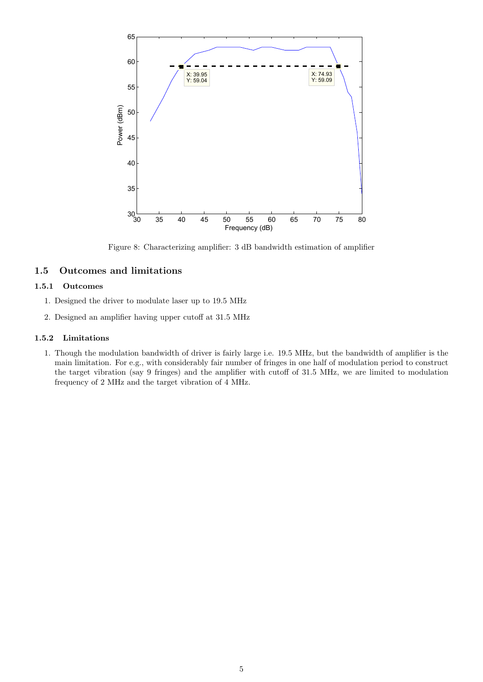

Figure 8: Characterizing amplifier: 3 dB bandwidth estimation of amplifier

### 1.5 Outcomes and limitations

### 1.5.1 Outcomes

- 1. Designed the driver to modulate laser up to 19.5 MHz
- 2. Designed an amplifier having upper cutoff at 31.5 MHz

### 1.5.2 Limitations

1. Though the modulation bandwidth of driver is fairly large i.e. 19.5 MHz, but the bandwidth of amplifier is the main limitation. For e.g., with considerably fair number of fringes in one half of modulation period to construct the target vibration (say 9 fringes) and the amplifier with cutoff of 31.5 MHz, we are limited to modulation frequency of 2 MHz and the target vibration of 4 MHz.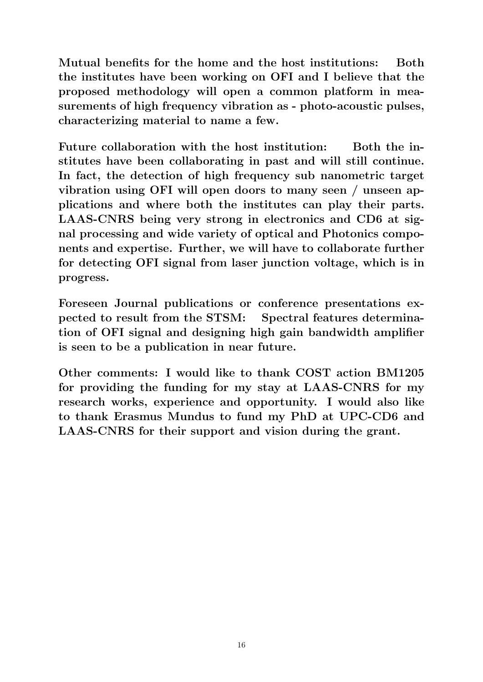Mutual benefits for the home and the host institutions: Both the institutes have been working on OFI and I believe that the proposed methodology will open a common platform in measurements of high frequency vibration as - photo-acoustic pulses, characterizing material to name a few.

Future collaboration with the host institution: Both the institutes have been collaborating in past and will still continue. In fact, the detection of high frequency sub nanometric target vibration using OFI will open doors to many seen / unseen applications and where both the institutes can play their parts. LAAS-CNRS being very strong in electronics and CD6 at signal processing and wide variety of optical and Photonics components and expertise. Further, we will have to collaborate further for detecting OFI signal from laser junction voltage, which is in progress.

Foreseen Journal publications or conference presentations expected to result from the STSM: Spectral features determination of OFI signal and designing high gain bandwidth amplifier is seen to be a publication in near future.

Other comments: I would like to thank COST action BM1205 for providing the funding for my stay at LAAS-CNRS for my research works, experience and opportunity. I would also like to thank Erasmus Mundus to fund my PhD at UPC-CD6 and LAAS-CNRS for their support and vision during the grant.